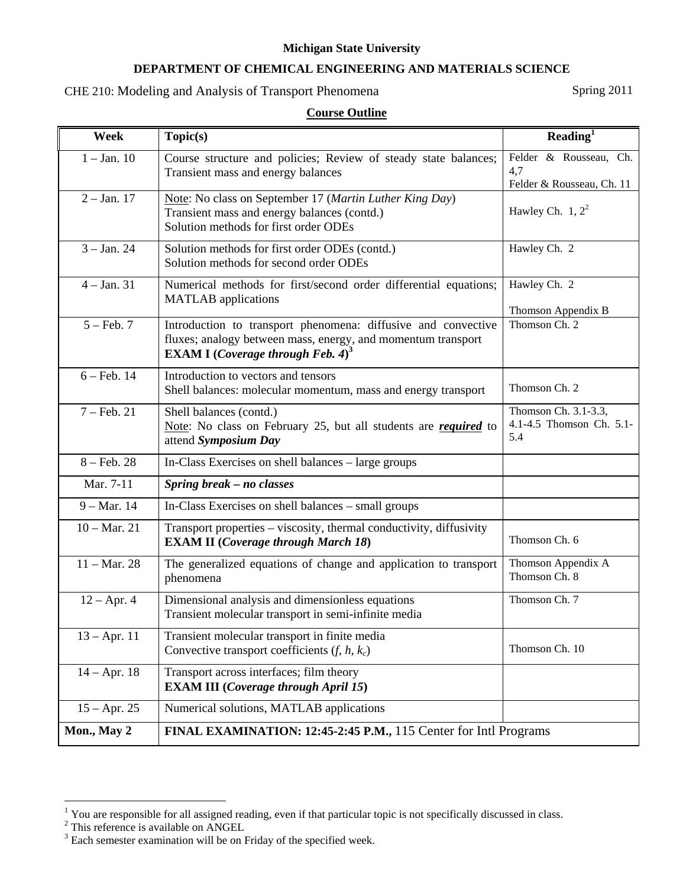#### **Michigan State University**

### **DEPARTMENT OF CHEMICAL ENGINEERING AND MATERIALS SCIENCE**

# CHE 210: Modeling and Analysis of Transport Phenomena Spring 2011

### **Course Outline**

| Week                   | Topic(s)                                                                                                                                                                              | Reading $\overline{I}$                                     |
|------------------------|---------------------------------------------------------------------------------------------------------------------------------------------------------------------------------------|------------------------------------------------------------|
| $1 - Jan. 10$          | Course structure and policies; Review of steady state balances;<br>Transient mass and energy balances                                                                                 | Felder & Rousseau, Ch.<br>4,7<br>Felder & Rousseau, Ch. 11 |
| $2 - Jan. 17$          | Note: No class on September 17 (Martin Luther King Day)<br>Transient mass and energy balances (contd.)<br>Solution methods for first order ODEs                                       | Hawley Ch. $1, 2^2$                                        |
| $3 - Jan. 24$          | Solution methods for first order ODEs (contd.)<br>Solution methods for second order ODEs                                                                                              | Hawley Ch. 2                                               |
| $4 - Jan. 31$          | Numerical methods for first/second order differential equations;<br><b>MATLAB</b> applications                                                                                        | Hawley Ch. 2<br>Thomson Appendix B                         |
| $5 - \text{Feb. } 7$   | Introduction to transport phenomena: diffusive and convective<br>fluxes; analogy between mass, energy, and momentum transport<br><b>EXAM I</b> ( <i>Coverage through Feb.</i> $4^3$ ) | Thomson Ch. 2                                              |
| $6 - Feb. 14$          | Introduction to vectors and tensors<br>Shell balances: molecular momentum, mass and energy transport                                                                                  | Thomson Ch. 2                                              |
| $7 - Feb. 21$          | Shell balances (contd.)<br>Note: No class on February 25, but all students are <i>required</i> to<br>attend Symposium Day                                                             | Thomson Ch. 3.1-3.3,<br>4.1-4.5 Thomson Ch. 5.1-<br>5.4    |
| $8 - Feb. 28$          | In-Class Exercises on shell balances – large groups                                                                                                                                   |                                                            |
| Mar. 7-11              | Spring break - no classes                                                                                                                                                             |                                                            |
| $9 - Mar. 14$          | In-Class Exercises on shell balances – small groups                                                                                                                                   |                                                            |
| $10 - \text{Mar. } 21$ | Transport properties - viscosity, thermal conductivity, diffusivity<br><b>EXAM II</b> (Coverage through March 18)                                                                     | Thomson Ch. 6                                              |
| $11 - \text{Mar. } 28$ | The generalized equations of change and application to transport<br>phenomena                                                                                                         | Thomson Appendix A<br>Thomson Ch. 8                        |
| $12 - Apr. 4$          | Dimensional analysis and dimensionless equations<br>Transient molecular transport in semi-infinite media                                                                              | Thomson Ch. 7                                              |
| $13 - Apr. 11$         | Transient molecular transport in finite media<br>Convective transport coefficients $(f, h, k_c)$                                                                                      | Thomson Ch. 10                                             |
| $14 - Apr. 18$         | Transport across interfaces; film theory<br><b>EXAM III</b> (Coverage through April 15)                                                                                               |                                                            |
| $15 - Apr. 25$         | Numerical solutions, MATLAB applications                                                                                                                                              |                                                            |
| Mon., May 2            | FINAL EXAMINATION: 12:45-2:45 P.M., 115 Center for Intl Programs                                                                                                                      |                                                            |

 $\frac{1}{2}$  You are responsible for all assigned reading, even if that particular topic is not specifically discussed in class.<br>  $\frac{1}{2}$  This reference is available on ANGEL<br>  $\frac{1}{2}$  Each semester examination will be on